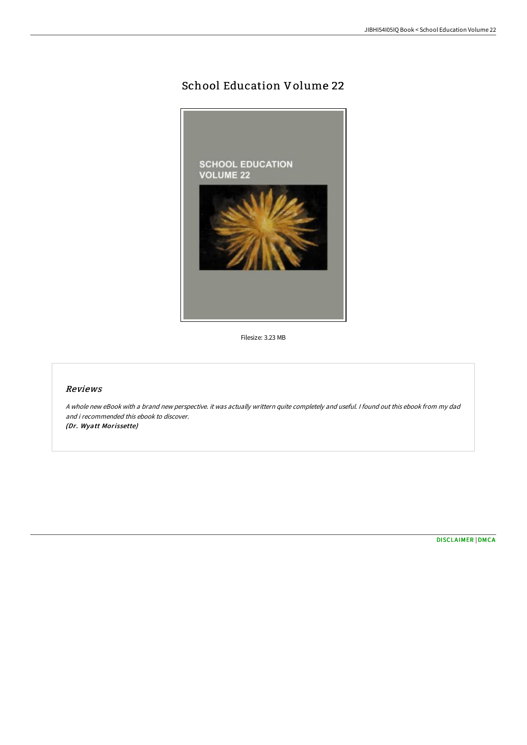## School Education Volume 22



Filesize: 3.23 MB

## Reviews

A whole new eBook with <sup>a</sup> brand new perspective. it was actually writtern quite completely and useful. I found out this ebook from my dad and i recommended this ebook to discover. (Dr. Wyatt Morissette)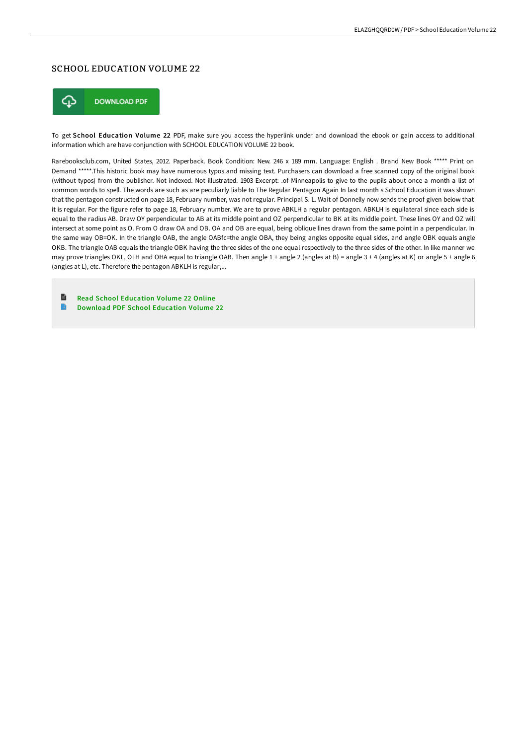## SCHOOL EDUCATION VOLUME 22



To get School Education Volume 22 PDF, make sure you access the hyperlink under and download the ebook or gain access to additional information which are have conjunction with SCHOOL EDUCATION VOLUME 22 book.

Rarebooksclub.com, United States, 2012. Paperback. Book Condition: New. 246 x 189 mm. Language: English . Brand New Book \*\*\*\*\* Print on Demand \*\*\*\*\*.This historic book may have numerous typos and missing text. Purchasers can download a free scanned copy of the original book (without typos) from the publisher. Not indexed. Not illustrated. 1903 Excerpt: .of Minneapolis to give to the pupils about once a month a list of common words to spell. The words are such as are peculiarly liable to The Regular Pentagon Again In last month s School Education it was shown that the pentagon constructed on page 18, February number, was not regular. Principal S. L. Wait of Donnelly now sends the proof given below that it is regular. For the figure refer to page 18, February number. We are to prove ABKLH a regular pentagon. ABKLH is equilateral since each side is equal to the radius AB. Draw OY perpendicular to AB at its middle point and OZ perpendicular to BK at its middle point. These lines OY and OZ will intersect at some point as O. From O draw OA and OB. OA and OB are equal, being oblique lines drawn from the same point in a perpendicular. In the same way OB=OK. In the triangle OAB, the angle OABfc=the angle OBA, they being angles opposite equal sides, and angle OBK equals angle OKB. The triangle OAB equals the triangle OBK having the three sides of the one equal respectively to the three sides of the other. In like manner we may prove triangles OKL, OLH and OHA equal to triangle OAB. Then angle 1 + angle 2 (angles at B) = angle 3 + 4 (angles at K) or angle 5 + angle 6 (angles at L), etc. Therefore the pentagon ABKLH is regular,...

 $\blacksquare$ Read School [Education](http://albedo.media/school-education-volume-22-paperback.html) Volume 22 Online B Download PDF School [Education](http://albedo.media/school-education-volume-22-paperback.html) Volume 22